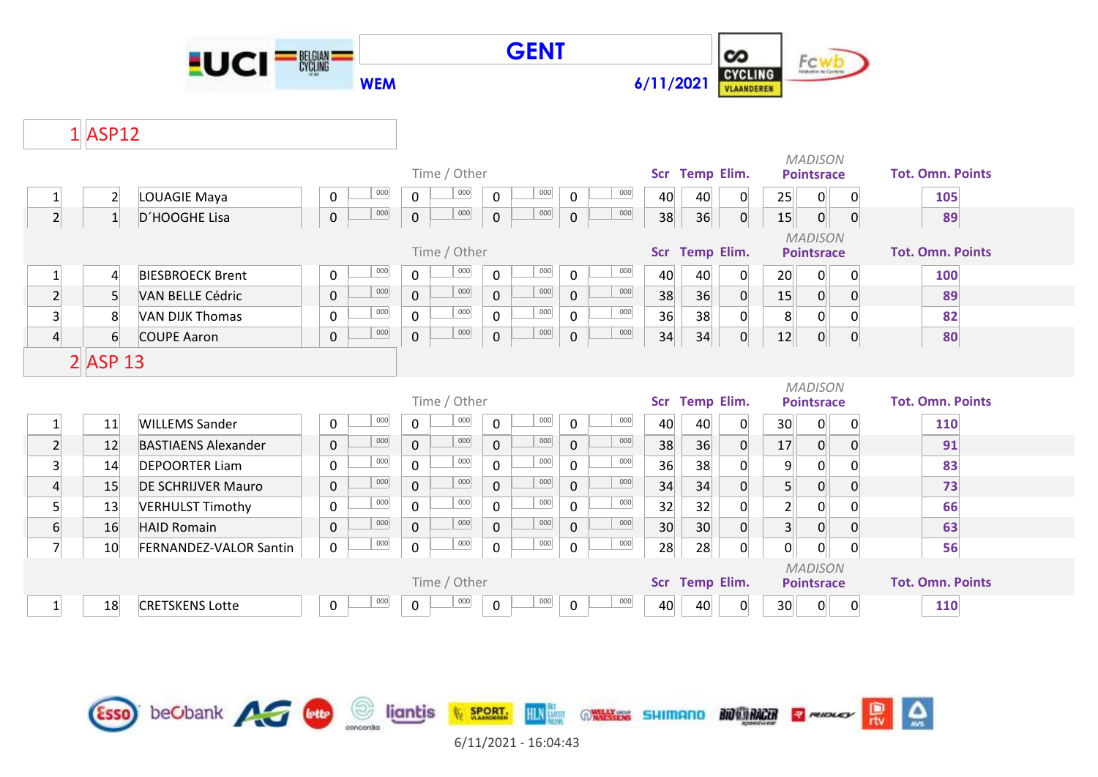

## $1$  ASP12

|                  |                |                               |                     | Time / Other                              |                           | <b>Temp Elim.</b><br><b>Scr</b> | <b>MADISON</b><br><b>Pointsrace</b>                | <b>Tot. Omn. Points</b> |
|------------------|----------------|-------------------------------|---------------------|-------------------------------------------|---------------------------|---------------------------------|----------------------------------------------------|-------------------------|
| $\mathbf{1}$     | $\overline{2}$ | LOUAGIE Maya                  | 000<br>0            | 000<br>$\mathbf 0$<br>$\mathbf 0$         | 000<br>000<br>0           | 40<br>40<br>0                   | 25<br>$\mathbf 0$<br>0                             | 105                     |
| $\overline{2}$   | 1              | D'HOOGHE Lisa                 | 000<br>$\pmb{0}$    | $_{000}$<br>$\mathbf 0$<br>$\mathbf 0$    | 000<br>000<br>$\mathbf 0$ | 36<br>38<br>$\overline{0}$      | 15<br>$\mathbf{0}$<br> 0                           | 89                      |
|                  |                |                               |                     | Time / Other                              |                           | <b>Temp Elim.</b><br><b>Scr</b> | <b>MADISON</b><br><b>Pointsrace</b>                | <b>Tot. Omn. Points</b> |
| $\mathbf{1}$     | $\overline{4}$ | <b>BIESBROECK Brent</b>       | 000<br>0            | 000<br>$\mathbf 0$<br>$\mathbf 0$         | 000<br>000<br>$\mathbf 0$ | 40<br>0<br>40                   | $\mathbf 0$<br>20<br>0                             | 100                     |
| $\overline{2}$   | 5 <sup>1</sup> | <b>VAN BELLE Cédric</b>       | 000<br>$\mathbf 0$  | 000<br>$\mathbf 0$<br>$\mathbf{0}$        | 000<br>000<br>$\mathbf 0$ | 36<br>38<br>$\mathbf{0}$        | 15<br>$\mathbf{0}$<br>$\mathbf{0}$                 | 89                      |
| $\overline{3}$   | 8              | <b>VAN DIJK Thomas</b>        | 000<br>$\mathbf 0$  | 000<br>$\mathbf 0$<br>$\mathbf 0$         | 000<br>000<br>$\mathbf 0$ | 36<br>38<br>0                   | 8<br>$\overline{0}$<br>0                           | 82                      |
| $\overline{4}$   | 6              | <b>COUPE Aaron</b>            | 000<br>$\mathbf 0$  | 000<br>$\mathsf{O}\xspace$<br>$\mathbf 0$ | 000<br>000<br>$\mathbf 0$ | 34<br>34<br>$\mathbf{0}$        | 12<br>$\overline{0}$<br>$\overline{0}$             | 80                      |
|                  | $2$ $ASP$ 13   |                               |                     |                                           |                           |                                 |                                                    |                         |
|                  |                |                               |                     |                                           |                           |                                 | <b>MADISON</b>                                     |                         |
|                  |                |                               |                     | Time / Other                              |                           | <b>Temp Elim.</b><br><b>Scr</b> | <b>Pointsrace</b>                                  | <b>Tot. Omn. Points</b> |
| $\mathbf{1}$     | 11             | <b>WILLEMS Sander</b>         | 000<br>0            | 000<br>$\mathbf 0$<br>$\mathbf 0$         | 000<br>000<br>$\mathbf 0$ | 40<br>40<br>0                   | 30 <sup>°</sup><br>$\overline{0}$<br>0             | 110                     |
| $\overline{2}$   | 12             | <b>BASTIAENS Alexander</b>    | 000<br>$\mathbf 0$  | 000<br>$\mathbf 0$<br>$\mathbf 0$         | 000<br>000<br>$\mathbf 0$ | 38<br>36<br>0                   | 17<br>$\overline{0}$<br>$\overline{0}$             | 91                      |
| 3 <sup>1</sup>   | 14             | <b>DEPOORTER Liam</b>         | 000<br>$\mathbf{0}$ | 000<br>0<br>$\mathbf 0$                   | 000<br>000<br>$\mathbf 0$ | 36<br>38<br>$\Omega$            | $\overline{9}$<br>$\Omega$<br>$\Omega$             | 83                      |
| $\overline{4}$   | 15             | <b>DE SCHRIJVER Mauro</b>     | 000<br>$\mathbf 0$  | 000<br>$\mathbf{0}$<br>$\overline{0}$     | 000<br>000<br>$\mathbf 0$ | 34<br>34<br>$\mathbf{0}$        | 5 <sup>1</sup><br>$\mathbf 0$<br>$\mathbf 0$       | 73                      |
| $\overline{5}$   | 13             | <b>VERHULST Timothy</b>       | 000<br>$\mathbf 0$  | 000<br>$\mathbf 0$<br>$\mathbf 0$         | 000<br>000<br>$\mathbf 0$ | 32<br>32<br>$\Omega$            | $\overline{2}$<br>$\overline{0}$<br>$\Omega$       | 66                      |
| $6 \overline{6}$ | 16             | <b>HAID Romain</b>            | 000<br>$\mathbf{0}$ | 000<br>$\mathbf 0$<br>$\mathbf{0}$        | 000<br>000<br>$\mathbf 0$ | 30<br>30<br>0                   | 3 <sup>1</sup><br>$\overline{0}$<br>$\overline{0}$ | 63                      |
| $\overline{7}$   | 10             | <b>FERNANDEZ-VALOR Santin</b> | 000<br>$\mathbf 0$  | 000<br>$\mathbf 0$<br>$\mathbf 0$         | 000<br>000<br>$\mathbf 0$ | 28<br>28<br>$\overline{0}$      | 0<br>$\mathbf 0$<br>$\overline{0}$                 | 56                      |
|                  |                |                               |                     |                                           |                           |                                 | <b>MADISON</b>                                     |                         |
|                  |                |                               |                     | Time / Other                              |                           | <b>Temp Elim.</b><br><b>Scr</b> | <b>Pointsrace</b>                                  | <b>Tot. Omn. Points</b> |
| $\mathbf{1}$     | 18             | <b>CRETSKENS Lotte</b>        | 000<br>0            | 000<br>$\mathbf 0$<br>0                   | 000<br>000<br>$\mathbf 0$ | 40<br>40<br>$\Omega$            | $\overline{0}$<br>30<br>$\overline{0}$             | 110                     |

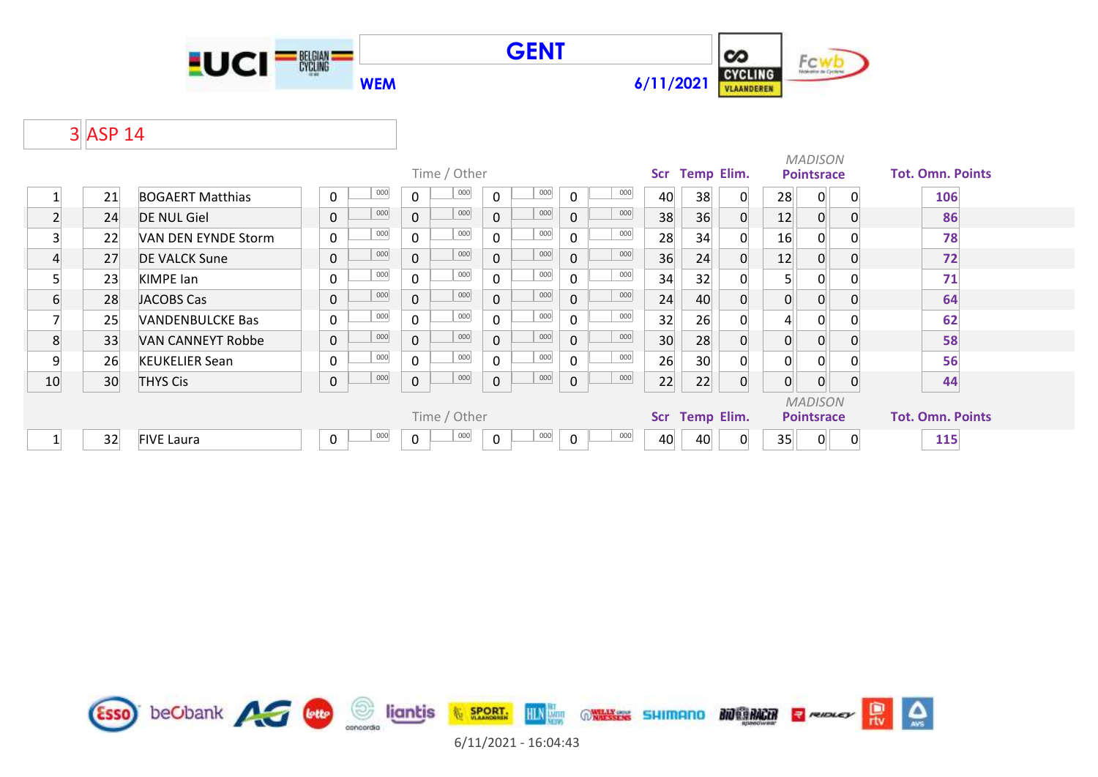





## 3 ASP 14

|                |    |                          |              |         |                                                                | Time / Other |              |     |              |     | <b>Scr</b>               | <b>Temp Elim.</b> |          |                                     | <b>MADISON</b><br><b>Pointsrace</b> |          | <b>Tot. Omn. Points</b> |  |
|----------------|----|--------------------------|--------------|---------|----------------------------------------------------------------|--------------|--------------|-----|--------------|-----|--------------------------|-------------------|----------|-------------------------------------|-------------------------------------|----------|-------------------------|--|
|                | 21 | <b>BOGAERT Matthias</b>  | $\mathbf{0}$ | 000     | 000<br>000<br>000<br>$\Omega$<br>$\Omega$<br>$\Omega$          |              |              |     |              | 40  | 38                       | $\Omega$          | 28       | $\Omega$                            | $\Omega$                            | 106      |                         |  |
| $\overline{2}$ | 24 | <b>DE NUL Giel</b>       | $\mathbf 0$  | 000     | $\mathbf 0$                                                    | 000          | $\Omega$     | 000 | $\Omega$     | 000 | 38                       | 36                | $\Omega$ | 12                                  | 0                                   | $\Omega$ | 86                      |  |
| 3              | 22 | VAN DEN EYNDE Storm      | $\mathbf{0}$ | 000     | $\Omega$                                                       | 000          | $\Omega$     | 000 | $\Omega$     | 000 | 28                       | 34                |          | 16                                  | 0                                   |          | 78                      |  |
| 4              | 27 | <b>DE VALCK Sune</b>     | $\mathbf 0$  | 000     | $\mathbf{0}$                                                   | 000          | $\mathbf{0}$ | 000 | $\mathbf{0}$ | 000 | 36                       | 24                | $\Omega$ | 12                                  | 0                                   | 0        | 72                      |  |
| 5              | 23 | <b>KIMPE</b> lan         | $\mathbf 0$  | 000     | $\mathbf{0}$                                                   | 000          | $\Omega$     | 000 | 0            | 000 | 34                       | 32                |          | 5 <sup>1</sup>                      |                                     |          | 71                      |  |
| 6              | 28 | JACOBS Cas               | $\mathbf 0$  | 000     | $\mathbf{0}$                                                   | 000          | $\mathbf{0}$ | 000 | $\mathbf{0}$ | 000 | 24                       | 40                |          | 0                                   | 0                                   | 0        | 64                      |  |
| 7              | 25 | <b>VANDENBULCKE Bas</b>  | $\mathbf{0}$ | 000     | $\mathbf{0}$                                                   | 000          | $\Omega$     | 000 | $\mathbf{0}$ | 000 | 32                       | 26                |          | 4                                   |                                     |          | 62                      |  |
| 8              | 33 | <b>VAN CANNEYT Robbe</b> | $\mathbf 0$  | 000     | $\mathbf{0}$                                                   | 000          | $\mathbf{0}$ | 000 | $\mathbf{0}$ | 000 | 30                       | 28                |          | $\mathbf 0$                         |                                     |          | 58                      |  |
| 9              | 26 | <b>KEUKELIER Sean</b>    | $\mathbf{0}$ | $000\,$ | $\mathbf{0}$                                                   | 000          | $\Omega$     | 000 | 0            | 000 | 26                       | 30 <sup>°</sup>   |          | 0                                   | $\Omega$                            |          | 56                      |  |
| 10             | 30 | <b>THYS Cis</b>          | $\mathbf 0$  | 000     | $\pmb{0}$                                                      | 000          | $\mathbf 0$  | 000 | 0            | 000 | 22                       | 22                | $\Omega$ | 0                                   |                                     |          | 44                      |  |
|                |    |                          |              |         |                                                                | Time / Other |              |     |              |     | Temp Elim.<br><b>Scr</b> |                   |          | <b>MADISON</b><br><b>Pointsrace</b> |                                     |          | <b>Tot. Omn. Points</b> |  |
|                | 32 | <b>FIVE Laura</b>        | 0            | 000     | 000<br>000<br>000<br>$\mathbf 0$<br>$\mathbf 0$<br>$\mathbf 0$ |              |              |     |              |     | 40                       | 40                |          | 35                                  | $\Omega$                            | 0        | 115                     |  |



6/11/2021 - 16:04:43